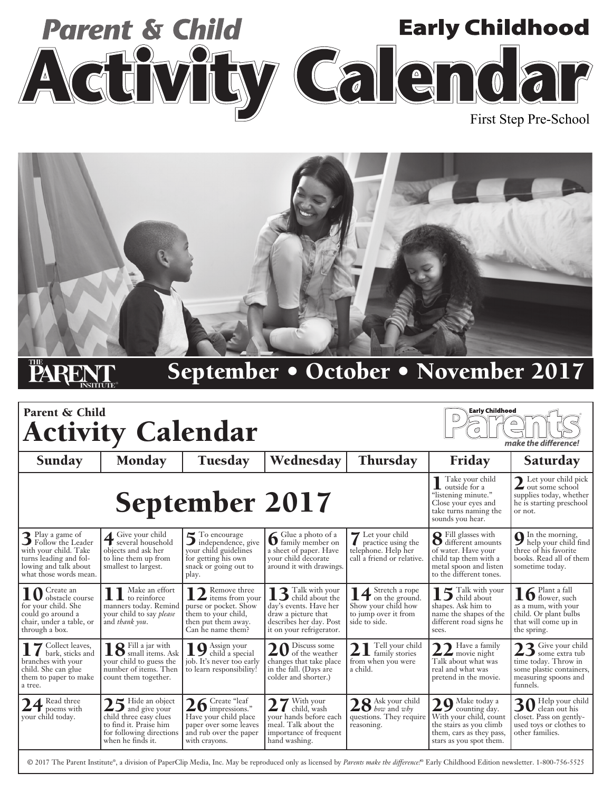



## September • October • November 2017

| Parent & Child<br><b>Early Childhood</b><br>△<br><b>Activity Calendar</b><br>O<br>make the difference!                                        |                                                                                                                                                        |                                                                                                                               |                                                                                                                             |                                                                                                                   |                                                                                                                                                               |                                                                                                                         |
|-----------------------------------------------------------------------------------------------------------------------------------------------|--------------------------------------------------------------------------------------------------------------------------------------------------------|-------------------------------------------------------------------------------------------------------------------------------|-----------------------------------------------------------------------------------------------------------------------------|-------------------------------------------------------------------------------------------------------------------|---------------------------------------------------------------------------------------------------------------------------------------------------------------|-------------------------------------------------------------------------------------------------------------------------|
| Sunday                                                                                                                                        | <b>Monday</b>                                                                                                                                          | <b>Tuesday</b>                                                                                                                | Wednesday                                                                                                                   | <b>Thursday</b>                                                                                                   | Friday                                                                                                                                                        | Saturday                                                                                                                |
|                                                                                                                                               | <b>September 2017</b>                                                                                                                                  | Take your child<br>L outside for a<br>"listening minute."<br>Close your eyes and<br>take turns naming the<br>sounds you hear. | Let your child pick<br>$\angle$ out some school<br>supplies today, whether<br>he is starting preschool<br>or not.           |                                                                                                                   |                                                                                                                                                               |                                                                                                                         |
| 3 Play a game of<br>3 Follow the Leader<br>with your child. Take<br>turns leading and fol-<br>lowing and talk about<br>what those words mean. | Give your child<br>Give your chuq<br>several household<br>objects and ask her<br>to line them up from<br>smallest to largest.                          | 5 To encourage<br>5 independence, give<br>your child guidelines<br>for getting his own<br>snack or going out to<br>play.      | <b>6</b> Glue a photo of a<br>family member on<br>a sheet of paper. Have<br>your child decorate<br>around it with drawings. | Let your child<br>practice using the<br>telephone. Help her<br>call a friend or relative.                         | <b>Q</b> Fill glasses with<br><b>O</b> different amounts<br>of water. Have your<br>child tap them with a<br>metal spoon and listen<br>to the different tones. | <b>Q</b> In the morning,<br>help your child find<br>three of his favorite<br>books. Read all of them<br>sometime today. |
| 10 Greate an<br>for your child. She<br>could go around a<br>chair, under a table, or<br>through a box.                                        | Make an effort<br>$\mathbf{1}\mathbf{1}$ Make an etto<br>manners today. Remind<br>your child to say <i>please</i><br>and thank you.                    | 12 Remove three<br>purse or pocket. Show<br>them to your child,<br>then put them away.<br>Can he name them?                   | 13 Talk with your<br>day's events. Have her<br>draw a picture that<br>describes her day. Post<br>it on your refrigerator.   | 1 1 Stretch a rope<br>$\mathbf{I}$ on the ground.<br>Show your child how<br>to jump over it from<br>side to side. | $\blacksquare$ $\blacksquare$ Talk with your<br>$\Box$ child about<br>shapes. Ask him to<br>name the shapes of the<br>different road signs he<br>sees.        | $16$ Plant a fall<br>as a mum, with your<br>child. Or plant bulbs<br>that will come up in<br>the spring.                |
| 17 Collect leaves,<br>branches with your<br>child. She can glue<br>them to paper to make<br>a tree.                                           | <b>Q</b> Fill a jar with<br>$\blacksquare$ $\blacksquare$ small items. Ask<br>your child to guess the<br>number of items. Then<br>count them together. | Assign your<br>$\blacktriangleright$ child a special<br>job. It's never too early<br>to learn responsibility!                 | 20 Discuss some<br>changes that take place<br>in the fall. (Days are<br>colder and shorter.)                                | Tell your child<br>$\angle$ 1 family stories<br>from when you were<br>a child.                                    | $22$ Have a family<br>Talk about what was<br>real and what was<br>pretend in the movie.                                                                       | 23 Give your child<br>time today. Throw in<br>some plastic containers,<br>measuring spoons and<br>funnels.              |
| $24^{\,\mathrm{Read\,three}}$<br>vour child today.                                                                                            | $25$ Hide an object<br>child three easy clues<br>to find it. Praise him<br>for following directions<br>when he finds it.                               | $26$ Greate "leaf".<br>Have your child place<br>paper over some leaves<br>and rub over the paper<br>with crayons.             | 27 With your<br>your hands before each<br>meal. Talk about the<br>importance of frequent<br>hand washing.                   | $28$ Ask your child<br>questions. They require<br>reasoning.                                                      | $29^{\text{Make today a}}$<br>With your child, count<br>the stairs as you climb<br>them, cars as they pass,<br>stars as you spot them.                        | 30 Help your child<br>closet. Pass on gently-<br>used toys or clothes to<br>other families.                             |

© 2017 The Parent Institute®, a division of PaperClip Media, Inc. May be reproduced only as licensed by *Parents make the difference!*® Early Childhood Edition newsletter. 1-800-756-5525